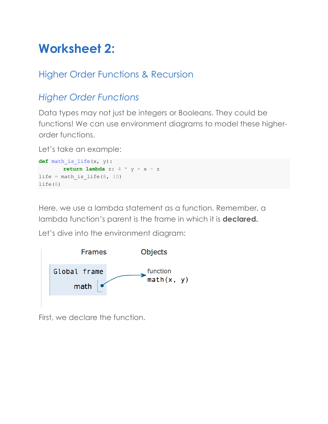# **Worksheet 2:**

## Higher Order Functions & Recursion

## *Higher Order Functions*

Data types may not just be integers or Booleans. They could be functions! We can use environment diagrams to model these higherorder functions.

Let's take an example:

```
def math_is_life(x, y):
      return lambda z: 4 * y + x - z
life = math is life(8, 10)
life(6)
```
Here, we use a lambda statement as a function. Remember, a lambda function's parent is the frame in which it is **declared.** 

Let's dive into the environment diagram:



First, we declare the function.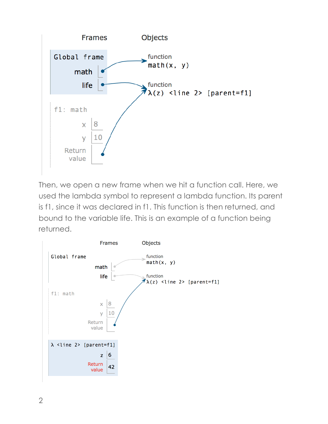

Then, we open a new frame when we hit a function call. Here, we used the lambda symbol to represent a lambda function. Its parent is f1, since it was declared in f1. This function is then returned, and bound to the variable life. This is an example of a function being returned.

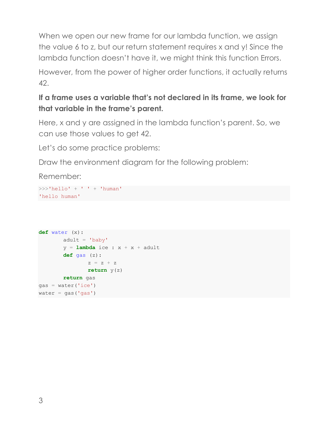When we open our new frame for our lambda function, we assign the value 6 to z, but our return statement requires x and y! Since the lambda function doesn't have it, we might think this function Errors.

However, from the power of higher order functions, it actually returns 42.

#### **If a frame uses a variable that's not declared in its frame, we look for that variable in the frame's parent.**

Here, x and y are assigned in the lambda function's parent. So, we can use those values to get 42.

Let's do some practice problems:

Draw the environment diagram for the following problem:

Remember:

```
\gg>'hello' + ' ' + 'human'
'hello human'
```

```
def water (x):
       adult = 'baby'y =lambda ice : x + x + adult
       def gas (z):
              z = z + zreturn y(z)
       return gas
gas = water('ice')water = gas('gas')
```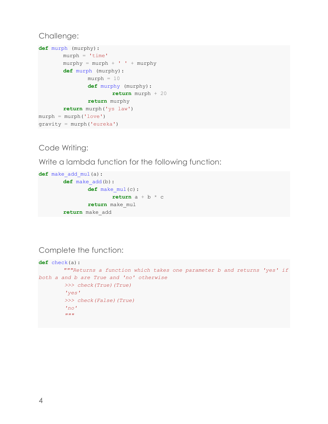#### Challenge:

```
def murph (murphy):
       murph = 'time'murphy = murph + ' ' + murphydef murph (murphy):
               murph = 10def murphy (murphy):
                      return murph + 20
               return murphy
       return murph('ys law')
murph = murph('love')gravity = murph('eureka')
```
#### Code Writing:

Write a lambda function for the following function:

```
def make_add_mul(a):
       def make_add(b):
               def make_mul(c):
                       return a + b * c
               return make_mul
       return make_add
```
Complete the function:

```
def check(a):
         """Returns a function which takes one parameter b and returns 'yes' if 
both a and b are True and 'no' otherwise
          >>> check(True)(True)
          'yes'
          >>> check(False)(True)
          'no'
         \overline{m}\,\overline{m}\,\overline{m}
```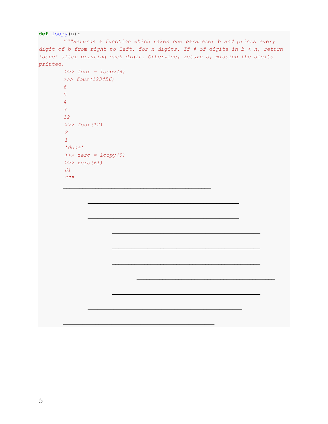#### **def** loopy(n):

*"""Returns a function which takes one parameter b and prints every digit of b from right to left, for n digits. If # of digits in b < n, return 'done' after printing each digit. Otherwise, return b, missing the digits printed.*

**\_\_\_\_\_\_\_\_\_\_\_\_\_\_\_\_\_\_\_\_\_\_\_\_\_\_\_\_\_\_\_\_\_\_\_\_\_\_\_\_\_\_\_\_\_\_**

**\_\_\_\_\_\_\_\_\_\_\_\_\_\_\_\_\_\_\_\_\_\_\_\_\_\_\_\_\_\_\_\_\_\_\_\_\_\_\_\_\_\_\_\_\_\_\_**

**\_\_\_\_\_\_\_\_\_\_\_\_\_\_\_\_\_\_\_\_\_\_\_\_\_\_\_\_\_\_\_\_\_\_\_\_\_\_\_\_\_\_\_\_\_\_\_**

**\_\_\_\_\_\_\_\_\_\_\_\_\_\_\_\_\_\_\_\_\_\_\_\_\_\_\_\_\_\_\_\_\_\_\_\_\_\_\_\_\_\_\_\_\_\_\_**

**\_\_\_\_\_\_\_\_\_\_\_\_\_\_\_\_\_\_\_\_\_\_\_\_\_\_\_\_\_\_\_\_\_\_\_\_\_\_\_\_\_\_\_\_\_\_\_\_**

**\_\_\_\_\_\_\_\_\_\_\_\_\_\_\_\_\_\_\_\_\_\_\_\_\_\_\_\_\_\_\_\_\_\_\_\_\_\_\_\_\_\_\_\_\_\_**

**\_\_\_\_\_\_\_\_\_\_\_\_\_\_\_\_\_\_\_\_\_\_\_\_\_\_\_\_\_\_\_\_\_\_\_\_\_\_\_\_\_\_\_\_\_\_**

**\_\_\_\_\_\_\_\_\_\_\_\_\_\_\_\_\_\_\_\_\_\_\_\_\_\_\_\_\_\_\_\_\_\_\_\_\_\_\_\_\_\_\_\_\_\_**

**\_\_\_\_\_\_\_\_\_\_\_\_\_\_\_\_\_\_\_\_\_\_\_\_\_\_\_\_\_\_\_\_\_\_\_\_\_\_\_\_\_\_\_\_\_\_**

**\_\_\_\_\_\_\_\_\_\_\_\_\_\_\_\_\_\_\_\_\_\_\_\_\_\_\_\_\_\_\_\_\_\_\_\_\_\_\_\_\_\_\_**

```
 >>> four = loopy(4)
 >>> four(123456)
 6
 5
 4
 3
 12
 >>> four(12)
 2
 1
 'done'
 >>> zero = loopy(0)
 >>> zero(61)
 61
 \overline{m} \overline{m}
```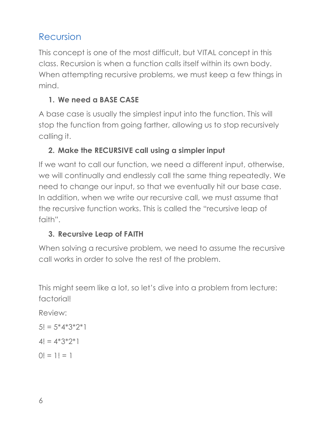## Recursion

This concept is one of the most difficult, but VITAL concept in this class. Recursion is when a function calls itself within its own body. When attempting recursive problems, we must keep a few things in mind.

### **1. We need a BASE CASE**

A base case is usually the simplest input into the function. This will stop the function from going farther, allowing us to stop recursively calling it.

#### **2. Make the RECURSIVE call using a simpler input**

If we want to call our function, we need a different input, otherwise, we will continually and endlessly call the same thing repeatedly. We need to change our input, so that we eventually hit our base case. In addition, when we write our recursive call, we must assume that the recursive function works. This is called the "recursive leap of faith".

## **3. Recursive Leap of FAITH**

When solving a recursive problem, we need to assume the recursive call works in order to solve the rest of the problem.

This might seem like a lot, so let's dive into a problem from lecture: factorial!

Review:

$$
5! = 5*4*3*2*1
$$

$$
4! = 4^*3^*2^*1
$$

 $0! = 1! = 1$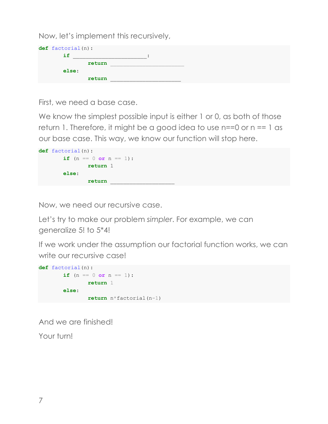Now, let's implement this recursively,

| def factorial(n): |        |  |  |  |
|-------------------|--------|--|--|--|
| if                |        |  |  |  |
|                   | return |  |  |  |
| else:             |        |  |  |  |
|                   | return |  |  |  |

First, we need a base case.

We know the simplest possible input is either 1 or 0, as both of those return 1. Therefore, it might be a good idea to use  $n == 0$  or  $n == 1$  as our base case. This way, we know our function will stop here.



Now, we need our recursive case.

Let's try to make our problem *simpler*. For example, we can generalize 5! to 5\*4!

If we work under the assumption our factorial function works, we can write our recursive case!

```
def factorial(n):
       if (n == 0 or n == 1):
              return 1
       else:
             return n * factorial(n-1)
```
And we are finished!

Your turn!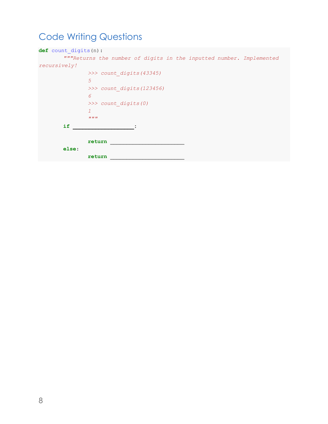## Code Writing Questions

| def count digits (n) :    |                                                                     |  |  |  |
|---------------------------|---------------------------------------------------------------------|--|--|--|
|                           | """Returns the number of digits in the inputted number. Implemented |  |  |  |
| recursively!              |                                                                     |  |  |  |
|                           | >>> count digits (43345)                                            |  |  |  |
|                           | 5                                                                   |  |  |  |
| >>> count digits (123456) |                                                                     |  |  |  |
|                           | 6                                                                   |  |  |  |
|                           | >>> count digits (0)                                                |  |  |  |
|                           | $\mathcal{I}$                                                       |  |  |  |
|                           | 11.11.11                                                            |  |  |  |
| if                        |                                                                     |  |  |  |
|                           |                                                                     |  |  |  |
|                           | return                                                              |  |  |  |
| else:                     |                                                                     |  |  |  |
|                           | return                                                              |  |  |  |
|                           |                                                                     |  |  |  |